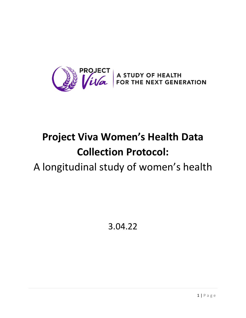

# **Project Viva Women's Health Data Collection Protocol:**

# A longitudinal study of women's health

3.04.22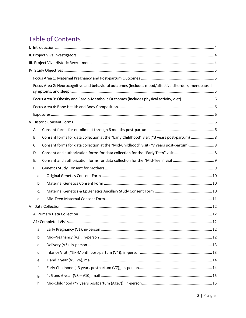# **Table of Contents**

|    | Focus Area 2: Neurocognitive and behavioral outcomes (includes mood/affective disorders, menopausal |
|----|-----------------------------------------------------------------------------------------------------|
|    |                                                                                                     |
|    |                                                                                                     |
|    |                                                                                                     |
|    |                                                                                                     |
| А. |                                                                                                     |
| В. | Consent forms for data collection at the "Early Childhood" visit (~3 years post-partum)  8          |
| C. | Consent forms for data collection at the "Mid-Childhood" visit (~7 years post-partum) 8             |
| D. |                                                                                                     |
| Ε. |                                                                                                     |
| F. |                                                                                                     |
| a. |                                                                                                     |
| b. |                                                                                                     |
| c. |                                                                                                     |
| d. |                                                                                                     |
|    |                                                                                                     |
|    |                                                                                                     |
|    |                                                                                                     |
| a. |                                                                                                     |
| b. |                                                                                                     |
| c. |                                                                                                     |
| d. |                                                                                                     |
| e. |                                                                                                     |
| f. |                                                                                                     |
| g. |                                                                                                     |
| h. |                                                                                                     |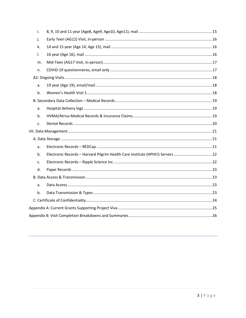| i. |                                                                               |  |  |  |  |  |
|----|-------------------------------------------------------------------------------|--|--|--|--|--|
| j. |                                                                               |  |  |  |  |  |
| k. |                                                                               |  |  |  |  |  |
| Τ. |                                                                               |  |  |  |  |  |
| m. |                                                                               |  |  |  |  |  |
| n. |                                                                               |  |  |  |  |  |
|    |                                                                               |  |  |  |  |  |
| a. |                                                                               |  |  |  |  |  |
| b. |                                                                               |  |  |  |  |  |
|    |                                                                               |  |  |  |  |  |
| a. |                                                                               |  |  |  |  |  |
| b. |                                                                               |  |  |  |  |  |
| c. |                                                                               |  |  |  |  |  |
|    |                                                                               |  |  |  |  |  |
|    |                                                                               |  |  |  |  |  |
| a. |                                                                               |  |  |  |  |  |
| b. | Electronic Records - Harvard Pilgrim Health Care Institute (HPHCI) Servers 22 |  |  |  |  |  |
| c. |                                                                               |  |  |  |  |  |
| d. |                                                                               |  |  |  |  |  |
|    |                                                                               |  |  |  |  |  |
| a. |                                                                               |  |  |  |  |  |
| b. |                                                                               |  |  |  |  |  |
|    |                                                                               |  |  |  |  |  |
|    |                                                                               |  |  |  |  |  |
|    |                                                                               |  |  |  |  |  |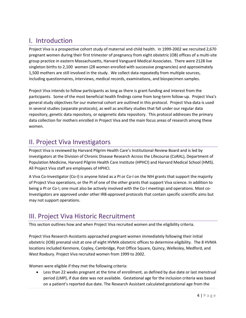# <span id="page-3-0"></span>I. Introduction

Project Viva is a prospective cohort study of maternal and child health. In 1999-2002 we recruited 2,670 pregnant women during their first trimester of pregnancy from eight obstetric (OB) offices of a multi-site group practice in eastern Massachusetts, Harvard Vanguard Medical Associates. There were 2128 live singleton births to 2,100 women (28 women enrolled with successive pregnancies) and approximately 1,500 mothers are still involved in the study. We collect data repeatedly from multiple sources, including questionnaires, interviews, medical records, examinations, and biospecimen samples.

Project Viva intends to follow participants as long as there is grant funding and interest from the participants. Some of the most beneficial health findings come from long-term follow-up. Project Viva's general study objectives for our maternal cohort are outlined in this protocol. Project Viva data is used in several studies (separate protocols), as well as ancillary studies that fall under our regular data repository, genetic data repository, or epigenetic data repository. This protocol addresses the primary data collection for mothers enrolled in Project Viva and the main focus areas of research among these women.

# <span id="page-3-1"></span>II. Project Viva Investigators

Project Viva is reviewed by Harvard Pilgrim Health Care's Institutional Review Board and is led by investigators at the Division of Chronic Disease Research Across the Lifecourse (CoRAL), Department of Population Medicine, Harvard Pilgrim Health Care Institute (HPHCI) and Harvard Medical School (HMS). All Project Viva staff are employees of HPHCI.

A Viva Co-Investigator (Co-I) is anyone listed as a PI or Co-I on the NIH grants that support the majority of Project Viva operations, or the PI of one of the other grants that support Viva science. In addition to being a PI or Co-I, one must also be actively involved with the Co-I meetings and operations. Most co-Investigators are approved under other IRB-approved protocols that contain specific scientific aims but may not support operations.

# <span id="page-3-2"></span>III. Project Viva Historic Recruitment

This section outlines how and when Project Viva recruited women and the eligibility criteria.

Project Viva Research Assistants approached pregnant women immediately following their initial obstetric (IOB) prenatal visit at one of eight HVMA obstetric offices to determine eligibility. The 8 HVMA locations included Kenmore, Copley, Cambridge, Post Office Square, Quincy, Wellesley, Medford, and West Roxbury. Project Viva recruited women from 1999 to 2002.

Women were eligible if they met the following criteria:

• Less than 22 weeks pregnant at the time of enrollment, as defined by due date or last menstrual period (LMP), if due date was not available. Gestational age for the inclusion criteria was based on a patient's reported due date. The Research Assistant calculated gestational age from the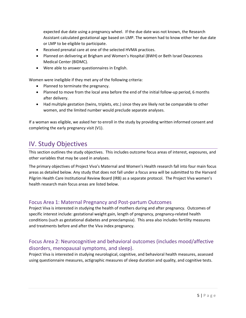expected due date using a pregnancy wheel. If the due date was not known, the Research Assistant calculated gestational age based on LMP. The women had to know either her due date or LMP to be eligible to participate.

- Received prenatal care at one of the selected HVMA practices.
- Planned on delivering at Brigham and Women's Hospital (BWH) or Beth Israel Deaconess Medical Center (BIDMC).
- Were able to answer questionnaires in English.

Women were ineligible if they met any of the following criteria:

- Planned to terminate the pregnancy.
- Planned to move from the local area before the end of the initial follow-up period, 6 months after delivery.
- Had multiple gestation (twins, triplets, etc.) since they are likely not be comparable to other women, and the limited number would preclude separate analyses.

If a woman was eligible, we asked her to enroll in the study by providing written informed consent and completing the early pregnancy visit (V1).

## <span id="page-4-0"></span>IV. Study Objectives

This section outlines the study objectives. This includes outcome focus areas of interest, exposures, and other variables that may be used in analyses.

The primary objectives of Project Viva's Maternal and Women's Health research fall into four main focus areas as detailed below. Any study that does not fall under a focus area will be submitted to the Harvard Pilgrim Health Care Institutional Review Board (IRB) as a separate protocol. The Project Viva women's health research main focus areas are listed below.

### <span id="page-4-1"></span>Focus Area 1: Maternal Pregnancy and Post-partum Outcomes

Project Viva is interested in studying the health of mothers during and after pregnancy. Outcomes of specific interest include: gestational weight gain, length of pregnancy, pregnancy-related health conditions (such as gestational diabetes and preeclampsia). This area also includes fertility measures and treatments before and after the Viva index pregnancy.

### <span id="page-4-2"></span>Focus Area 2: Neurocognitive and behavioral outcomes (includes mood/affective disorders, menopausal symptoms, and sleep).

Project Viva is interested in studying neurological, cognitive, and behavioral health measures, assessed using questionnaire measures, actigraphic measures of sleep duration and quality, and cognitive tests.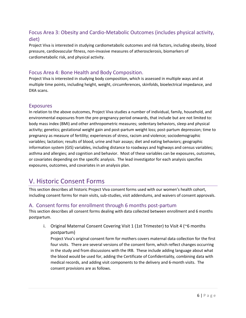### <span id="page-5-0"></span>Focus Area 3: Obesity and Cardio-Metabolic Outcomes (includes physical activity, diet)

Project Viva is interested in studying cardiometabolic outcomes and risk factors, including obesity, blood pressure, cardiovascular fitness, non-invasive measures of atherosclerosis, biomarkers of cardiometabolic risk, and physical activity.

#### <span id="page-5-1"></span>Focus Area 4: Bone Health and Body Composition.

Project Viva is interested in studying body composition, which is assessed in multiple ways and at multiple time points, including height, weight, circumferences, skinfolds, bioelectrical impedance, and DXA scans.

#### <span id="page-5-2"></span>Exposures

In relation to the above outcomes, Project Viva studies a number of individual, family, household, and environmental exposures from the pre-pregnancy period onwards, that include but are not limited to: body mass index (BMI) and other anthropometric measures; sedentary behaviors, sleep and physical activity; genetics; gestational weight gain and post-partum weight loss; post-partum depression; time to pregnancy as measure of fertility; experiences of stress, racism and violence; sociodemographic variables; lactation; results of blood, urine and hair assays; diet and eating behaviors; geographic information system (GIS) variables, including distance to roadways and highways and census variables; asthma and allergies; and cognition and behavior. Most of these variables can be exposures, outcomes, or covariates depending on the specific analysis. The lead investigator for each analysis specifies exposures, outcomes, and covariates in an analysis plan.

### <span id="page-5-3"></span>V. Historic Consent Forms

This section describes all historic Project Viva consent forms used with our women's health cohort, including consent forms for main visits, sub-studies, visit addendums, and waivers of consent approvals.

#### <span id="page-5-4"></span>A. Consent forms for enrollment through 6 months post-partum

This section describes all consent forms dealing with data collected between enrollment and 6 months postpartum.

i. Original Maternal Consent Covering Visit 1 (1st Trimester) to Visit 4 (~6 months postpartum)

Project Viva's original consent form for mothers covers maternal data collection for the first four visits. There are several versions of the consent form, which reflect changes occurring in the study and from discussions with the IRB. These include adding language about what the blood would be used for, adding the Certificate of Confidentiality, combining data with medical records, and adding visit components to the delivery and 6-month visits. The consent provisions are as follows.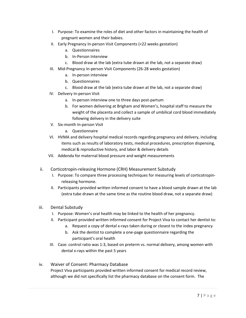- I. Purpose: To examine the roles of diet and other factors in maintaining the health of pregnant women and their babies.
- II. Early Pregnancy In-person Visit Components (<22 weeks gestation)
	- a. Questionnaires
	- b. In-Person Interview
	- c. Blood draw at the lab (extra tube drawn at the lab, not a separate draw)
- III. Mid-Pregnancy In-person Visit Components (26-28 weeks gestation)
	- a. In-person interview
	- b. Questionnaires
	- c. Blood draw at the lab (extra tube drawn at the lab, not a separate draw)
- IV. Delivery In-person Visit
	- a. In-person interview one to three days post-partum
	- b. For women delivering at Brigham and Women's, hospital staff to measure the weight of the placenta and collect a sample of umbilical cord blood immediately following delivery in the delivery suite
- V. Six-month In-person Visit
	- a. Questionnaire
- VI. HVMA and delivery hospital medical records regarding pregnancy and delivery, including items such as results of laboratory tests, medical procedures, prescription dispensing, medical & reproductive history, and labor & delivery details
- VII. Addenda for maternal blood pressure and weight measurements
- ii. Corticotropin-releasing Hormone (CRH) Measurement Substudy
	- I. Purpose: To compare three processing techniques for measuring levels of corticotropinreleasing hormone.
	- II. Participants provided written informed consent to have a blood sample drawn at the lab (extra tube drawn at the same time as the routine blood draw, not a separate draw)
- iii. Dental Substudy
	- I. Purpose: Women's oral health may be linked to the health of her pregnancy.
	- II. Participant provided written informed consent for Project Viva to contact her dentist to:
		- a. Request a copy of dental x-rays taken during or closest to the index pregnancy
		- b. Ask the dentist to complete a one-page questionnaire regarding the participant's oral health
	- III. Case: control ratio was 1:3, based on preterm vs. normal delivery, among women with dental x-rays within the past 5 years
- iv. Waiver of Consent: Pharmacy Database Project Viva participants provided written informed consent for medical record review, although we did not specifically list the pharmacy database on the consent form. The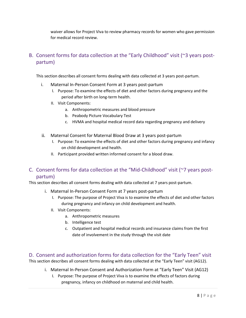waiver allows for Project Viva to review pharmacy records for women who gave permission for medical record review.

### <span id="page-7-0"></span>B. Consent forms for data collection at the "Early Childhood" visit (~3 years postpartum)

This section describes all consent forms dealing with data collected at 3 years post-partum.

- i. Maternal In-Person Consent Form at 3 years post-partum
	- I. Purpose: To examine the effects of diet and other factors during pregnancy and the period after birth on long-term health.
	- II. Visit Components:
		- a. Anthropometric measures and blood pressure
		- b. Peabody Picture Vocabulary Test
		- c. HVMA and hospital medical record data regarding pregnancy and delivery
- ii. Maternal Consent for Maternal Blood Draw at 3 years post-partum
	- I. Purpose: To examine the effects of diet and other factors during pregnancy and infancy on child development and health.
	- II. Participant provided written informed consent for a blood draw.

### <span id="page-7-1"></span>C. Consent forms for data collection at the "Mid-Childhood" visit (~7 years postpartum)

This section describes all consent forms dealing with data collected at 7 years post-partum.

- i. Maternal In-Person Consent Form at 7 years post-partum
	- I. Purpose: The purpose of Project Viva is to examine the effects of diet and other factors during pregnancy and infancy on child development and health.
	- II. Visit Components:
		- a. Anthropometric measures
		- b. Intelligence test
		- c. Outpatient and hospital medical records and insurance claims from the first date of involvement in the study through the visit date

<span id="page-7-2"></span>D. Consent and authorization forms for data collection for the "Early Teen" visit This section describes all consent forms dealing with data collected at the "Early Teen" visit (AG12).

i. Maternal In-Person Consent and Authorization Form at "Early Teen" Visit (AG12)

I. Purpose: The purpose of Project Viva is to examine the effects of factors during pregnancy, infancy on childhood on maternal and child health.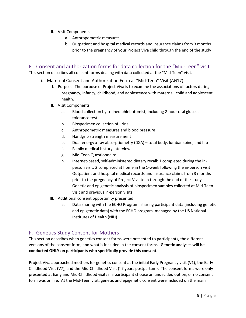- II. Visit Components:
	- a. Anthropometric measures
	- b. Outpatient and hospital medical records and insurance claims from 3 months prior to the pregnancy of your Project Viva child through the end of the study

#### <span id="page-8-0"></span>E. Consent and authorization forms for data collection for the "Mid-Teen" visit

This section describes all consent forms dealing with data collected at the "Mid-Teen" visit.

- i. Maternal Consent and Authorization Form at "Mid-Teen" Visit (AG17)
	- I. Purpose: The purpose of Project Viva is to examine the associations of factors during pregnancy, infancy, childhood, and adolescence with maternal, child and adolescent health.
	- II. Visit Components:
		- a. Blood collection by trained phlebotomist, including 2-hour oral glucose tolerance test
		- b. Biospecimen collection of urine
		- c. Anthropometric measures and blood pressure
		- d. Handgrip strength measurement
		- e. Dual-energy x-ray absorptiometry (DXA) total body, lumbar spine, and hip
		- f. Family medical history interview
		- g. Mid-Teen Questionnaire
		- h. Internet-based, self-administered dietary recall: 1 completed during the inperson visit; 2 completed at home in the 1-week following the in-person visit
		- i. Outpatient and hospital medical records and insurance claims from 3 months prior to the pregnancy of Project Viva teen through the end of the study
		- j. Genetic and epigenetic analysis of biospecimen samples collected at Mid-Teen Visit and previous in-person visits
	- III. Additional consent opportunity presented:
		- a. Data sharing with the ECHO Program: sharing participant data (including genetic and epigenetic data) with the ECHO program, managed by the US National Institutes of Health (NIH).

### <span id="page-8-1"></span>F. Genetics Study Consent for Mothers

This section describes when genetics consent forms were presented to participants, the different versions of the consent form, and what is included in the consent forms. **Genetic analyses will be conducted ONLY on participants who specifically provide this consent.**

Project Viva approached mothers for genetics consent at the initial Early Pregnancy visit (V1), the Early Childhood Visit (V7), and the Mid-Childhood Visit (~7 years postpartum). The consent forms were only presented at Early and Mid-Childhood visits if a participant choose an undecided option, or no consent form was on file. At the Mid-Teen visit, genetic and epigenetic consent were included on the main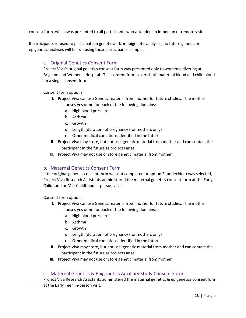consent form, which was presented to all participants who attended an in-person or remote visit.

If participants refused to participate in genetic and/or epigenetic analyses, no future genetic or epigenetic analyses will be run using those participants' samples.

#### <span id="page-9-0"></span>a. Original Genetics Consent Form

Project Viva's original genetics consent form was presented only to women delivering at Brigham and Women's Hospital. This consent form covers both maternal blood and child blood on a single consent form.

Consent form options:

- I. Project Viva can use Genetic material from mother for future studies. The mother chooses yes or no for each of the following domains:
	- a. High blood pressure
	- b. Asthma
	- c. Growth
	- d. Length (duration) of pregnancy (for mothers only)
	- e. Other medical conditions identified in the future
- II. Project Viva may store, but not use, genetic material from mother and can contact the participant in the future as projects arise.
- III. Project Viva may not use or store genetic material from mother

#### <span id="page-9-1"></span>b. Maternal Genetics Consent Form

If the original genetics consent form was not completed or option 2 (undecided) was selected, Project Viva Research Assistants administered the maternal genetics consent form at the Early Childhood or Mid-Childhood in-person visits.

Consent form options:

- I. Project Viva can use Genetic material from mother for future studies. The mother chooses yes or no for each of the following domains:
	- a. High blood pressure
	- b. Asthma
	- c. Growth
	- d. Length (duration) of pregnancy (for mothers only)
	- e. Other medical conditions identified in the future
- II. Project Viva may store, but not use, genetic material from mother and can contact the participant in the future as projects arise.
- III. Project Viva may not use or store genetic material from mother

#### <span id="page-9-2"></span>c. Maternal Genetics & Epigenetics Ancillary Study Consent Form

Project Viva Research Assistants administered the maternal genetics & epigenetics consent form at the Early Teen in-person visit.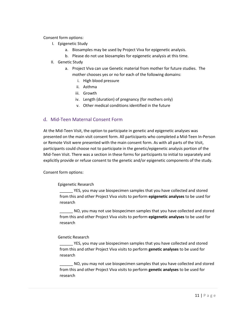Consent form options:

- I. Epigenetic Study
	- a. Biosamples may be used by Project Viva for epigenetic analysis.
	- b. Please do not use biosamples for epigenetic analysis at this time.
- II. Genetic Study
	- a. Project Viva can use Genetic material from mother for future studies. The mother chooses yes or no for each of the following domains:
		- i. High blood pressure
		- ii. Asthma
		- iii. Growth
		- iv. Length (duration) of pregnancy (for mothers only)
		- v. Other medical conditions identified in the future

#### <span id="page-10-0"></span>d. Mid-Teen Maternal Consent Form

At the Mid-Teen Visit, the option to participate in genetic and epigenetic analyses was presented on the main visit consent form. All participants who completed a Mid-Teen In-Person or Remote Visit were presented with the main consent form. As with all parts of the Visit, participants could choose not to participate in the genetic/epigenetic analysis portion of the Mid-Teen Visit. There was a section in these forms for participants to initial to separately and explicitly provide or refuse consent to the genetic and/or epigenetic components of the study.

Consent form options:

#### Epigenetic Research

YES, you may use biospecimen samples that you have collected and stored from this and other Project Viva visits to perform **epigenetic analyses** to be used for research

\_\_\_\_\_\_ NO, you may not use biospecimen samples that you have collected and stored from this and other Project Viva visits to perform **epigenetic analyses** to be used for research

#### Genetic Research

YES, you may use biospecimen samples that you have collected and stored from this and other Project Viva visits to perform **genetic analyses** to be used for research

\_\_\_\_\_\_ NO, you may not use biospecimen samples that you have collected and stored from this and other Project Viva visits to perform **genetic analyses** to be used for research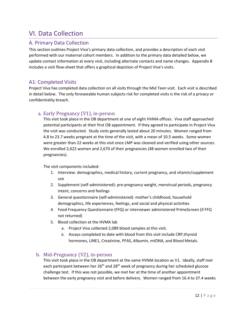# <span id="page-11-0"></span>VI. Data Collection

### <span id="page-11-1"></span>A. Primary Data Collection

This section outlines Project Viva's primary data collection, and provides a description of each visit performed with our maternal cohort members. In addition to the primary data detailed below, we update contact information at every visit, including alternate contacts and name changes. Appendix B includes a visit flow-sheet that offers a graphical depiction of Project Viva's visits.

#### <span id="page-11-2"></span>A1: Completed Visits

Project Viva has completed data collection on all visits through the Mid Teen visit. Each visit is described in detail below. The only foreseeable human subjects risk for completed visits is the risk of a privacy or confidentiality breach.

#### <span id="page-11-3"></span>a. Early Pregnancy (V1), in-person

This visit took place in the OB department at one of eight HVMA offices. Viva staff approached potential participants at their first OB appointment. If they agreed to participate in Project Viva the visit was conducted. Study visits generally lasted about 20 minutes. Women ranged from 4.8 to 23.7 weeks pregnant at the time of the visit, with a mean of 10.5 weeks. Some women were greater than 22 weeks at this visit once LMP was cleaned and verified using other sources. We enrolled 2,622 women and 2,670 of their pregnancies (48 women enrolled two of their pregnancies).

The visit components included:

- 1. Interview: demographics, medical history, current pregnancy, and vitamin/supplement use
- 2. Supplement (self-administered): pre-pregnancy weight, menstrual periods, pregnancy intent, concerns and feelings
- 3. General questionnaire (self-administered): mother's childhood, household demographics, life experiences, feelings, and social and physical activities
- 4. Food Frequency Questionnaire (FFQ) or interviewer administered PrimeScreen (if FFQ not returned)
- 5. Blood collection at the HVMA lab
	- a. Project Viva collected 2,089 blood samples at this visit.
	- b. Assays completed to date with blood from this visit include CRP,thyroid hormones, LINE1, Creatinine, PFAS, Albumin, mtDNA, and Blood Metals.

#### <span id="page-11-4"></span>b. Mid-Pregnancy (V2), in-person

This visit took place in the OB department at the same HVMA location as V1. Ideally, staff met each participant between her 26<sup>th</sup> and 28<sup>th</sup> week of pregnancy during her scheduled glucose challenge test. If this was not possible, we met her at the time of another appointment between the early pregnancy visit and before delivery. Women ranged from 16.4 to 37.4 weeks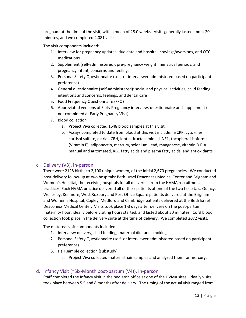pregnant at the time of the visit, with a mean of 28.0 weeks. Visits generally lasted about 20 minutes, and we completed 2,081 visits.

The visit components included:

- 1. Interview for pregnancy updates: due date and hospital, cravings/aversions, and OTC medications
- 2. Supplement (self-administered): pre-pregnancy weight, menstrual periods, and pregnancy intent, concerns and feelings
- 3. Personal Safety Questionnaire (self- or interviewer administered based on participant preference)
- 4. General questionnaire (self-administered): social and physical activities, child feeding intentions and concerns, feelings, and dental care
- 5. Food Frequency Questionnaire (FFQ)
- 6. Abbreviated versions of Early Pregnancy interview, questionnaire and supplement (if not completed at Early Pregnancy Visit)
- 7. Blood collection
	- a. Project Viva collected 1648 blood samples at this visit.
	- b. Assays completed to date from blood at this visit include: hsCRP, cytokines, cortisol sulfate, estriol, CRH, leptin, fructosamine, LINE1, tocopherol isoforms (Vitamin E), adiponectin, mercury, selenium, lead, manganese, vitamin D RIA manual and automated, RBC fatty acids and plasma fatty acids, and antioxidants.

#### <span id="page-12-0"></span>c. Delivery (V3), in-person

There were 2128 births to 2,100 unique women, of the initial 2,670 pregnancies. We conducted post-delivery follow-up at two hospitals: Beth Israel Deaconess Medical Center and Brigham and Women's Hospital, the receiving hospitals for all deliveries from the HVMA recruitment practices. Each HVMA practice delivered all of their patients at one of the two hospitals. Quincy, Wellesley, Kenmore, West Roxbury and Post Office Square patients delivered at the Brigham and Women's Hospital; Copley, Medford and Cambridge patients delivered at the Beth Israel Deaconess Medical Center. Visits took place 1-3 days after delivery on the post-partum maternity floor, ideally before visiting hours started, and lasted about 30 minutes. Cord blood collection took place in the delivery suite at the time of delivery. We completed 2072 visits.

The maternal visit components included:

- 1. Interview: delivery, child feeding, maternal diet and smoking
- 2. Personal Safety Questionnaire (self- or interviewer administered based on participant preference)
- 3. Hair sample collection (substudy)
	- a. Project Viva collected maternal hair samples and analyzed them for mercury.

#### <span id="page-12-1"></span>d. Infancy Visit (~Six-Month post-partum (V4)), in-person

Staff completed the Infancy visit in the pediatric office at one of the HVMA sites. Ideally visits took place between 5.5 and 8 months after delivery. The timing of the actual visit ranged from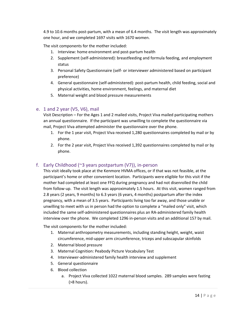4.9 to 10.6 months post-partum, with a mean of 6.4 months. The visit length was approximately one hour, and we completed 1697 visits with 1670 women.

The visit components for the mother included:

- 1. Interview: home environment and post-partum health
- 2. Supplement (self-administered): breastfeeding and formula feeding, and employment status
- 3. Personal Safety Questionnaire (self- or interviewer administered based on participant preference)
- 4. General questionnaire (self-administered): post-partum health, child feeding, social and physical activities, home environment, feelings, and maternal diet
- 5. Maternal weight and blood pressure measurements

#### <span id="page-13-0"></span>e. 1 and 2 year (V5, V6), mail

Visit Description – For the Ages 1 and 2 mailed visits, Project Viva mailed participating mothers an annual questionnaire. If the participant was unwilling to complete the questionnaire via mail, Project Viva attempted administer the questionnaire over the phone.

- 1. For the 1 year visit, Project Viva received 1,280 questionnaires completed by mail or by phone.
- 2. For the 2 year visit, Project Viva received 1,392 questionnaires completed by mail or by phone.

#### <span id="page-13-1"></span>f. Early Childhood (~3 years postpartum (V7)), in-person

This visit ideally took place at the Kenmore HVMA offices, or if that was not feasible, at the participant's home or other convenient location. Participants were eligible for this visit if the mother had completed at least one FFQ during pregnancy and had not disenrolled the child from follow-up. The visit length was approximately 1.5 hours. At this visit, women ranged from 2.8 years (2 years, 9 months) to 6.3 years (6 years, 4 months) postpartum after the index pregnancy, with a mean of 3.5 years. Participants living too far away, and those unable or unwilling to meet with us in person had the option to complete a "mailed only" visit, which included the same self-administered questionnaires plus an RA-administered family health interview over the phone. We completed 1296 in-person visits and an additional 157 by mail.

The visit components for the mother included:

- 1. Maternal anthropometry measurements, including standing height, weight, waist circumference, mid-upper arm circumference, triceps and subscapular skinfolds
- 2. Maternal blood pressure
- 3. Maternal Cognition: Peabody Picture Vocabulary Test
- 4. Interviewer-administered family health interview and supplement
- 5. General questionnaire
- 6. Blood collection
	- a. Project Viva collected 1022 maternal blood samples. 289 samples were fasting (>8 hours).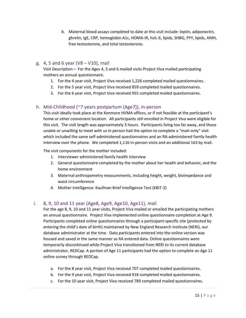b. Maternal blood assays completed to date at this visit include: leptin, adiponectin, ghrelin, IgE, CRP, hemoglobin A1c, HOMA-IR, hsIL-6, lipids, SHBG, PYY, lipids, AMH, free testosterone, and total testosterone.

#### <span id="page-14-0"></span>g. 4, 5 and 6 year (V8 – V10), mail

Visit Description— For the Ages 4, 5 and 6 mailed visits Project Viva mailed participating mothers an annual questionnaire.

- 1. For the 4 year visit, Project Viva received 1,226 completed mailed questionnaires.
- 2. For the 5 year visit, Project Viva received 859 completed mailed questionnaires.
- 3. For the 6 year visit, Project Viva received 955 completed mailed questionnaires.

#### <span id="page-14-1"></span>h. Mid-Childhood (~7 years postpartum (Age7)), in-person

This visit ideally took place at the Kenmore HVMA offices, or if not feasible at the participant's home or other convenient location. All participants still enrolled in Project Viva were eligible for this visit. The visit length was approximately 3 hours. Participants living too far away, and those unable or unwilling to meet with us in person had the option to complete a "mail–only" visit which included the same self-administered questionnaires and an RA-administered family health interview over the phone. We completed 1,116 in-person visits and an additional 163 by mail.

The visit components for the mother included:

- 1. Interviewer administered family health interview
- 2. General questionnaire completed by the mother about her health and behavior, and the home environment
- 3. Maternal anthropometry measurements, including height, weight, bioimpedance and waist circumference
- 4. Mother intelligence: Kaufman Brief Intelligence Test (KBIT-2)

#### <span id="page-14-2"></span>i. 8, 9, 10 and 11 year (Age8, Age9, Age10, Age11), mail

For the age 8, 9, 10 and 11 year visits, Project Viva mailed or emailed the participating mothers an annual questionnaire. Project Viva implemented online questionnaire completion at Age 9. Participants completed online questionnaires through a participant-specific site (protected by entering the child's date of birth) maintained by New England Research Institute (NERI), our database administrator at the time. Data participants entered into the online version was housed and saved in the same manner as RA entered data. Online questionnaires were temporarily discontinued while Project Viva transitioned from NERI to its current database administrator, REDCap. A portion of Age 11 participants had the option to complete an Age 11 online survey through REDCap.

- a. For the 8 year visit, Project Viva received 707 completed mailed questionnaires.
- b. For the 9 year visit, Project Viva received 918 completed mailed questionnaires.
- c. For the 10 year visit, Project Viva received 789 completed mailed questionnaires.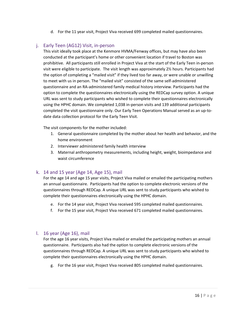d. For the 11 year visit, Project Viva received 699 completed mailed questionnaires.

#### <span id="page-15-0"></span>j. Early Teen (AG12) Visit, in-person

This visit ideally took place at the Kenmore HVMA/Fenway offices, but may have also been conducted at the participant's home or other convenient location if travel to Boston was prohibitive. All participants still enrolled in Project Viva at the start of the Early Teen in-person visit were eligible to participate. The visit length was approximately 2½ hours. Participants had the option of completing a "mailed visit" if they lived too far away, or were unable or unwilling to meet with us in person. The "mailed visit" consisted of the same self-administered questionnaire and an RA-administered family medical history interview. Participants had the option to complete the questionnaires electronically using the REDCap survey option. A unique URL was sent to study participants who wished to complete their questionnaires electronically using the HPHC domain. We completed 1,038 in-person visits and 139 additional participants completed the visit questionnaire only. Our Early Teen Operations Manual served as an up-todate data collection protocol for the Early Teen Visit.

The visit components for the mother included:

- 1. General questionnaire completed by the mother about her health and behavior, and the home environment
- 2. Interviewer administered family health interview
- 3. Maternal anthropometry measurements, including height, weight, bioimpedance and waist circumference

#### <span id="page-15-1"></span>k. 14 and 15 year (Age 14, Age 15), mail

For the age 14 and age 15 year visits, Project Viva mailed or emailed the participating mothers an annual questionnaire. Participants had the option to complete electronic versions of the questionnaires through REDCap. A unique URL was sent to study participants who wished to complete their questionnaires electronically using the HPHC domain.

- e. For the 14 year visit, Project Viva received 595 completed mailed questionnaires.
- f. For the 15 year visit, Project Viva received 671 completed mailed questionnaires.

#### <span id="page-15-2"></span>l. 16 year (Age 16), mail

For the age 16 year visits, Project Viva mailed or emailed the participating mothers an annual questionnaire. Participants also had the option to complete electronic versions of the questionnaires through REDCap. A unique URL was sent to study participants who wished to complete their questionnaires electronically using the HPHC domain.

g. For the 16 year visit, Project Viva received 805 completed mailed questionnaires.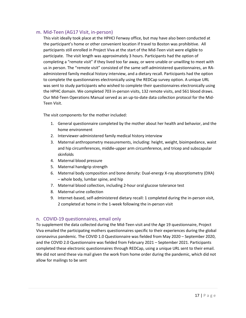#### <span id="page-16-0"></span>m. Mid-Teen (AG17 Visit, in-person)

This visit ideally took place at the HPHCI Fenway office, but may have also been conducted at the participant's home or other convenient location if travel to Boston was prohibitive. All participants still enrolled in Project Viva at the start of the Mid-Teen visit were eligible to participate. The visit length was approximately 3 hours. Participants had the option of completing a "remote visit" if they lived too far away, or were unable or unwilling to meet with us in person. The "remote visit" consisted of the same self-administered questionnaires, an RAadministered family medical history interview, and a dietary recall. Participants had the option to complete the questionnaires electronically using the REDCap survey option. A unique URL was sent to study participants who wished to complete their questionnaires electronically using the HPHC domain. We completed 703 in-person visits, 132 remote visits, and 561 blood draws. Our Mid-Teen Operations Manual served as an up-to-date data collection protocol for the Mid-Teen Visit.

The visit components for the mother included:

- 1. General questionnaire completed by the mother about her health and behavior, and the home environment
- 2. Interviewer-administered family medical history interview
- 3. Maternal anthropometry measurements, including: height, weight, bioimpedance, waist and hip circumferences, middle-upper arm circumference, and tricep and subscapular skinfolds
- 4. Maternal blood pressure
- 5. Maternal handgrip strength
- 6. Maternal body composition and bone density: Dual-energy X-ray absorptiometry (DXA) – whole body, lumbar spine, and hip
- 7. Maternal blood collection, including 2-hour oral glucose tolerance test
- 8. Maternal urine collection
- 9. Internet-based, self-administered dietary recall: 1 completed during the in-person visit, 2 completed at home in the 1-week following the in-person visit

#### <span id="page-16-1"></span>n. COVID-19 questionnaires, email only

To supplement the data collected during the Mid-Teen visit and the Age 19 questionnaire, Project Viva emailed the participating mothers questionnaires specific to their experiences during the global coronavirus pandemic. The COVID 1.0 Questionnaire was fielded from May 2020 – September 2020, and the COVID 2.0 Questionnaire was fielded from February 2021 – September 2021. Participants completed these electronic questionnaires through REDCap, using a unique URL sent to their email. We did not send these via mail given the work from home order during the pandemic, which did not allow for mailings to be sent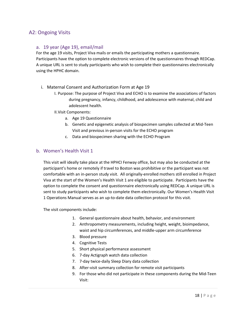### <span id="page-17-0"></span>A2: Ongoing Visits

#### <span id="page-17-1"></span>a. 19 year (Age 19), email/mail

For the age 19 visits, Project Viva mails or emails the participating mothers a questionnaire. Participants have the option to complete electronic versions of the questionnaires through REDCap. A unique URL is sent to study participants who wish to complete their questionnaires electronically using the HPHC domain.

- i. Maternal Consent and Authorization Form at Age 19
	- I. Purpose: The purpose of Project Viva and ECHO is to examine the associations of factors during pregnancy, infancy, childhood, and adolescence with maternal, child and adolescent health.
	- II.Visit Components:
		- a. Age 19 Questionnaire
		- b. Genetic and epigenetic analysis of biospecimen samples collected at Mid-Teen Visit and previous in-person visits for the ECHO program
		- c. Data and biospecimen sharing with the ECHO Program

#### <span id="page-17-2"></span>b. Women's Health Visit 1

This visit will ideally take place at the HPHCI Fenway office, but may also be conducted at the participant's home or remotely if travel to Boston was prohibitive or the participant was not comfortable with an in-person study visit. All originally-enrolled mothers still enrolled in Project Viva at the start of the Women's Health Visit 1 are eligible to participate. Participants have the option to complete the consent and questionnaire electronically using REDCap. A unique URL is sent to study participants who wish to complete them electronically. Our Women's Health Visit 1 Operations Manual serves as an up-to-date data collection protocol for this visit.

The visit components include:

- 1. General questionnaire about health, behavior, and environment
- 2. Anthropometry measurements, including height, weight, bioimpedance, waist and hip circumferences, and middle-upper arm circumference
- 3. Blood pressure
- 4. Cognitive Tests
- 5. Short physical performance assessment
- 6. 7-day Actigraph watch data collection
- 7. 7-day twice-daily Sleep Diary data collection
- 8. After-visit summary collection for remote visit participants
- 9. For those who did not participate in these components during the Mid-Teen Visit: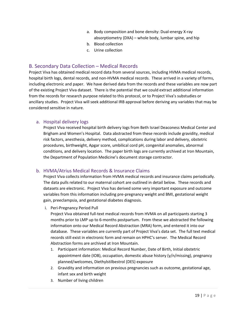- a. Body composition and bone density: Dual-energy X-ray absorptiometry (DXA) – whole body, lumbar spine, and hip
- b. Blood collection
- c. Urine collection

#### <span id="page-18-0"></span>B. Secondary Data Collection – Medical Records

Project Viva has obtained medical record data from several sources, including HVMA medical records, hospital birth logs, dental records, and non-HVMA medical records. These arrived in a variety of forms, including electronic and paper. We have derived data from the records and these variables are now part of the existing Project Viva dataset. There is the potential that we could extract additional information from the records for research purpose related to this protocol, or to Project Viva's substudies or ancillary studies. Project Viva will seek additional IRB approval before deriving any variables that may be considered sensitive in nature.

#### <span id="page-18-1"></span>a. Hospital delivery logs

Project Viva received hospital birth delivery logs from Beth Israel Deaconess Medical Center and Brigham and Women's Hospital. Data abstracted from these records include gravidity, medical risk factors, anesthesia, delivery method, complications during labor and delivery, obstetric procedures, birthweight, Apgar score, umbilical cord pH, congenital anomalies, abnormal conditions, and delivery location. The paper birth logs are currently archived at Iron Mountain, the Department of Population Medicine's document storage contractor.

#### <span id="page-18-2"></span>b. HVMA/Atrius Medical Records & Insurance Claims

Project Viva collects information from HVMA medical records and insurance claims periodically. The data pulls related to our maternal cohort are outlined in detail below. These records and datasets are electronic. Project Viva has derived some very important exposure and outcome variables from this information including pre-pregnancy weight and BMI, gestational weight gain, preeclampsia, and gestational diabetes diagnosis.

i. Peri-Pregnancy Period Pull

Project Viva obtained full-text medical records from HVMA on all participants starting 3 months prior to LMP up to 6-months postpartum. From these we abstracted the following information onto our Medical Record Abstraction (MRA) form, and entered it into our database. These variables are currently part of Project Viva's data set. The full text medical records still exist in electronic form and remain on HPHC's server. The Medical Record Abstraction forms are archived at Iron Mountain.

- 1. Participant information: Medical Record Number, Date of Birth, Initial obstetric appointment date (IOB), occupation, domestic abuse history (y/n/missing), pregnancy planned/welcomes, Diethylstilbestrol (DES) exposure
- 2. Gravidity and information on previous pregnancies such as outcome, gestational age, infant sex and birth weight
- 3. Number of living children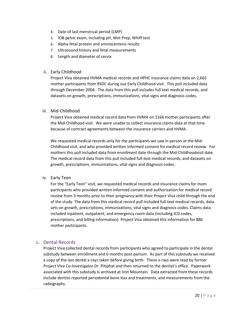- 4. Date of last menstrual period (LMP)
- 5. IOB pelvic exam, including pH, Wet Prep, Whiff test
- 6. Alpha-fetal protein and amniocentesis results
- 7. Ultrasound history and fetal measurements
- 8. Length and diameter of cervix
- ii. Early Childhood

Project Viva obtained HVMA medical records and HPHC insurance claims data on 2,665 mother participants from RSDC during our Early Childhood visit. This pull included data through December 2004. The data from this pull includes full text medical records, and datasets on growth, prescriptions, immunizations, vital signs and diagnosis codes.

iii. Mid-Childhood

Project Viva obtained medical record data from HVMA on 1166 mother participants after the Mid-Childhood visit. We were unable to collect insurance claims data at that time because of contract agreements between the insurance carriers and HVMA.

We requested medical records only for the participants we saw in person at the Mid-Childhood visit, and who provided written informed consent for medical record review. For mothers this pull included data from enrollment date through the Mid-Childhoodvisit date. The medical record data from this pull included full-text medical records, and datasets on growth, prescriptions, immunizations, vital signs and diagnosis codes.

iv. Early Teen

For the "Early Teen" visit, we requested medical records and insurance claims for mom participants who provided written informed consent and authorization for medical record review from 3 months prior to their pregnancy with their Project Viva child through the end of the study. The data from this medical record pull included full-text medical records, data sets on growth, prescriptions, immunizations, vital signs and diagnosis codes. Claims data included inpatient, outpatient, and emergency room data (including ICD codes, prescriptions, and billing information). Project Viva obtained this information for 886 mother participants.

#### <span id="page-19-0"></span>c. Dental Records

Project Viva collected dental records from participants who agreed to participate in the dental substudy between enrollment and 6 months post-partum. As part of this substudy we received a copy of the last dental x-rays taken before giving birth. These x-rays were read by former Project Viva Co-Investigator Dr. Pitiphat and then returned to the dentist's office. Paperwork associated with this substudy is archived at Iron Mountain. Data extracted from these records include dentist-reported periodontal bone loss and treatments, and measurements from the radiographs.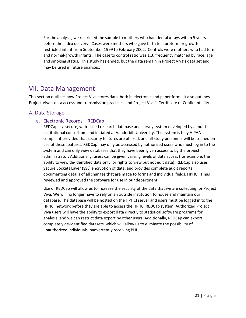For the analysis, we restricted the sample to mothers who had dental x-rays within 5 years before the index delivery. Cases were mothers who gave birth to a preterm or growthrestricted infant from September 1999 to February 2002. Controls were mothers who had term and normal-growth infants. The case to control ratio was 1:3, frequency matched by race, age and smoking status. This study has ended, but the data remain in Project Viva's data set and may be used in future analyses.

### <span id="page-20-0"></span>VII. Data Management

This section outlines how Project Viva stores data, both in electronic and paper form. It also outlines Project Viva's data access and transmission practices, and Project Viva's Certificate of Confidentiality.

#### <span id="page-20-2"></span><span id="page-20-1"></span>A. Data Storage

#### a. Electronic Records – REDCap

REDCap is a secure, web-based research database and survey system developed by a multiinstitutional consortium and initiated at Vanderbilt University. The system is fully HIPAA compliant provided that security features are utilized, and all study personnel will be trained on use of these features. REDCap may only be accessed by authorized users who must log in to the system and can only view databases that they have been given access to by the project administrator. Additionally, users can be given varying levels of data access (for example, the ability to view de-identified data only, or rights to view but not edit data). REDCap also uses Secure Sockets Layer (SSL) encryption of data, and provides complete audit reports documenting details of all changes that are made to forms and individual fields. HPHCI IT has reviewed and approved the software for use in our department.

Use of REDCap will allow us to increase the security of the data that we are collecting for Project Viva. We will no longer have to rely on an outside institution to house and maintain our database. The database will be hosted on the HPHCI server and users must be logged in to the HPHCI network before they are able to access the HPHCI REDCap system. Authorized Project Viva users will have the ability to export data directly to statistical software programs for analysis, and we can restrict data export by other users. Additionally, REDCap can export completely de-identified datasets, which will allow us to eliminate the possibility of unauthorized individuals inadvertently receiving PHI.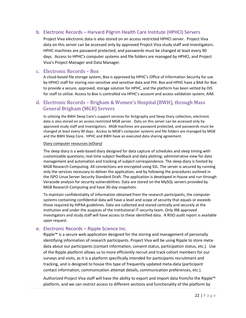#### <span id="page-21-0"></span>b. Electronic Records – Harvard Pilgrim Health Care Institute (HPHCI) Servers

Project Viva electronic data is also stored on an access restricted HPHCI server. Project Viva data on this server can be accessed only by approved Project Viva study staff and investigators. HPHC machines are password protected, and passwords must be changed at least every 90 days. Access to HPHC's computer systems and file folders are managed by HPHCI, and Project Viva's Project Manager and Data Manager.

#### <span id="page-21-1"></span>c. Electronic Records – Box

A cloud-based file storage system, Box is approved by HPHC's Office of Information Security for use by HPHCI staff for storing non-sensitive *and* sensitive data and PHI. Box and HPHC have a BAA for Box to provide a secure, approved, storage solution for HPHC, and the platform has been vetted by OIS for staff to utilize. Access to Box is controlled via HPHC's account and access validation system, AIM.

#### d. Electronic Records – Brigham & Women's Hospital (BWH), through Mass General Brigham (MGB) Servers

In utilizing the BWH Sleep Core's support services for Actigraphy and Sleep Diary collection, electronic data is also stored on an access restricted MGB server. Data on this server can be accessed only by approved study staff and investigators. MGB machines are password protected, and passwords must be changed at least every 90 days. Access to MGB's computer systems and file folders are managed by MGB and the BWH Sleep Core. HPHC and BWH have an executed data sharing agreement.

#### Diary computer resources (eDiary)

The sleep diary is a web-based diary designed for data capture of schedules and sleep timing with customizable questions; real-time subject feedback and data plotting; administrative view for data management and automation and tracking of subject correspondence. The sleep diary is hosted by MGB Research Computing. All connections are encrypted using SSL. The server is secured by running only the services necessary to deliver the application, and by following the procedures outlined in the ISPO Linux Server Security Standard Draft. The application is developed in-house and run through Veracode analysis for security vulnerabilities. Data are stored on the MySQL servers provided by MGB Research Computing and have 30-day snapshots.

To maintain confidentiality of information obtained from the research participants, the computer systems containing confidential data will have a level and scope of security that equals or exceeds those required by HIPAA guidelines. Data are collected and stored centrally and securely at the institution and under the auspices of the institutional IT security team. Only IRB approved investigators and study staff will have access to these identified data. A RISO audit report is available upon request.

#### e. Electronic Records – Ripple Science Inc.

Ripple<sup>™</sup> is a secure web application designed for the storing and management of personally identifying information of research participants. Project Viva will be using Ripple to store metadata about our participants (contact information, consent status, participation status, etc.). Use of the Ripple platform allows us to more efficiently recruit and track cohort members for our surveys and visits, as it is a platform specifically intended for participants recruitment and tracking, and is designed to house this type of frequently updated meta-data (participant contact information, communication attempt details, communication preferences, etc.).

Authorized Project Viva staff will have the ability to export and import data from/to the Ripple™ platform, and we can restrict access to different sections and functionality of the platform by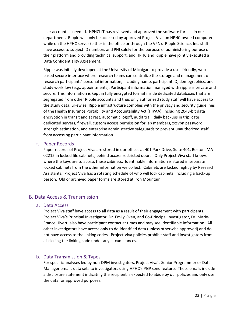user account as needed. HPHCI IT has reviewed and approved the software for use in our department. Ripple will only be accessed by approved Project Viva on HPHC-owned computers while on the HPHC server (either in the office or through the VPN). Ripple Science, Inc. staff have access to subject ID numbers and PHI solely for the purpose of administering our use of their platform and providing technical support, and HPHC and Ripple have jointly executed a Data Confidentiality Agreement.

Ripple was initially developed at the University of Michigan to provide a user-friendly, webbased secure interface where research teams can centralize the storage and management of research participants' personal information, including name, participant ID, demographics, and study workflow (e.g., appointments). Participant information managed with ripple is private and secure. This information is kept in fully encrypted format inside dedicated databases that are segregated from other Ripple accounts and thus only authorized study staff will have access to the study data. Likewise, Ripple infrastructure complies with the privacy and security guidelines of the Health Insurance Portability and Accountability Act (HIPAA), including 2048-bit data encryption in transit and at rest, automatic logoff, audit trail, daily backups in triplicate dedicated servers, firewall, custom access permission for lab members, zxcvbn password strength estimation, and enterprise administrative safeguards to prevent unauthorized staff from accessing participant information.

#### <span id="page-22-0"></span>f. Paper Records

Paper records of Project Viva are stored in our offices at 401 Park Drive, Suite 401, Boston, MA 02215 in locked file cabinets, behind access-restricted doors. Only Project Viva staff knows where the keys are to access these cabinets. Identifiable information is stored in separate locked cabinets from the other information we collect. Cabinets are locked nightly by Research Assistants. Project Viva has a rotating schedule of who will lock cabinets, including a back-up person. Old or archived paper forms are stored at Iron Mountain.

### <span id="page-22-2"></span><span id="page-22-1"></span>B. Data Access & Transmission

#### a. Data Access

Project Viva staff have access to all data as a result of their engagement with participants. Project Viva's Principal Investigator, Dr. Emily Oken, and Co-Principal Investigator, Dr. Marie-France Hivert, also have participant contact at times and may see identifiable information. All other investigators have access only to de-identified data (unless otherwise approved) and do not have access to the linking codes. Project Viva policies prohibit staff and investigators from disclosing the linking code under any circumstances.

#### <span id="page-22-3"></span>b. Data Transmission & Types

For specific analyses led by non-DPM investigators, Project Viva's Senior Programmer or Data Manager emails data sets to investigators using HPHC's PGP send feature. These emails include a disclosure statement indicating the recipient is expected to abide by our policies and only use the data for approved purposes.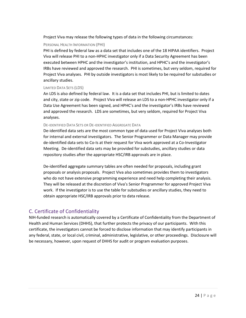Project Viva may release the following types of data in the following circumstances:

#### PERSONAL HEALTH INFORMATION (PHI)

PHI is defined by federal law as a data set that includes one of the 18 HIPAA identifiers. Project Viva will release PHI to a non-HPHC investigator only if a Data Security Agreement has been executed between HPHC and the investigator's institution, and HPHC's and the investigator's IRBs have reviewed and approved the research. PHI is sometimes, but very seldom, required for Project Viva analyses. PHI by outside investigators is most likely to be required for substudies or ancillary studies.

#### LIMITED DATA SETS (LDS)

An LDS is also defined by federal law. It is a data set that includes PHI, but is limited to dates and city, state or zip code. Project Viva will release an LDS to a non-HPHC investigator only if a Data Use Agreement has been signed, and HPHC's and the investigator's IRBs have reviewed and approved the research. LDS are sometimes, but very seldom, required for Project Viva analyses.

#### DE-IDENTIFIED DATA SETS OR DE-IDENTIFIED AGGREGATE DATA

De-identified data sets are the most common type of data used for Project Viva analyses both for internal and external investigators. The Senior Programmer or Data Manager may provide de-identified data sets to Co-Is at their request for Viva work approved at a Co-Investigator Meeting. De-identified data sets may be provided for substudies, ancillary studies or data repository studies after the appropriate HSC/IRB approvals are in place.

De-identified aggregate summary tables are often needed for proposals, including grant proposals or analysis proposals. Project Viva also sometimes provides them to investigators who do not have extensive programming experience and need help completing their analysis. They will be released at the discretion of Viva's Senior Programmer for approved Project Viva work. If the investigator is to use the table for substudies or ancillary studies, they need to obtain appropriate HSC/IRB approvals prior to data release.

### <span id="page-23-0"></span>C. Certificate of Confidentiality

NIH-funded research is automatically covered by a Certificate of Confidentiality from the Department of Health and Human Services (DHHS), that further protects the privacy of our participants. With this certificate, the investigators cannot be forced to disclose information that may identify participants in any federal, state, or local civil, criminal, administrative, legislative, or other proceedings. Disclosure will be necessary, however, upon request of DHHS for audit or program evaluation purposes.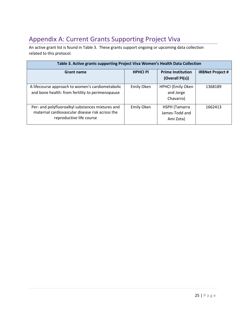# <span id="page-24-0"></span>Appendix A: Current Grants Supporting Project Viva

An active grant list is found in Table 3. These grants support ongoing or upcoming data collection related to this protocol.

| Table 3. Active grants supporting Project Viva Women's Health Data Collection                                                   |                 |                                                    |                         |  |  |  |
|---------------------------------------------------------------------------------------------------------------------------------|-----------------|----------------------------------------------------|-------------------------|--|--|--|
| <b>Grant name</b>                                                                                                               | <b>HPHCI PI</b> | <b>Prime Institution</b><br>(Overall PI(s))        | <b>IRBNet Project #</b> |  |  |  |
| A lifecourse approach to women's cardiometabolic<br>and bone health: from fertility to perimenopause                            | Emily Oken      | <b>HPHCI</b> (Emily Oken<br>and Jorge<br>Chavarro) | 1368189                 |  |  |  |
| Per- and polyfluoroalkyl substances mixtures and<br>maternal cardiovascular disease risk across the<br>reproductive life course | Emily Oken      | HSPH (Tamarra<br>James-Todd and<br>Ami Zota)       | 1662413                 |  |  |  |